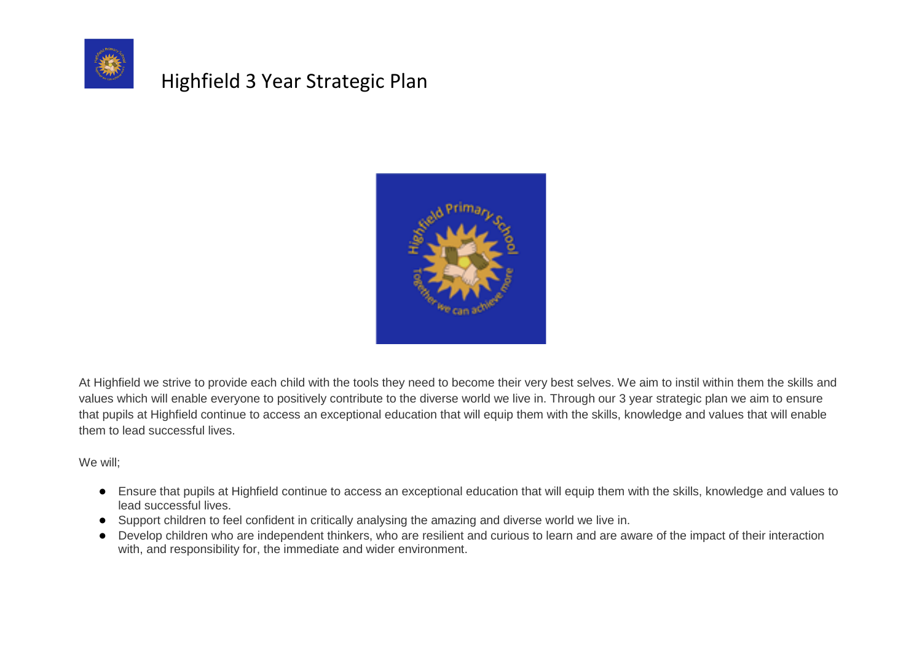



At Highfield we strive to provide each child with the tools they need to become their very best selves. We aim to instil within them the skills and values which will enable everyone to positively contribute to the diverse world we live in. Through our 3 year strategic plan we aim to ensure that pupils at Highfield continue to access an exceptional education that will equip them with the skills, knowledge and values that will enable them to lead successful lives.

We will;

- Ensure that pupils at Highfield continue to access an exceptional education that will equip them with the skills, knowledge and values to lead successful lives.
- Support children to feel confident in critically analysing the amazing and diverse world we live in.
- Develop children who are independent thinkers, who are resilient and curious to learn and are aware of the impact of their interaction with, and responsibility for, the immediate and wider environment.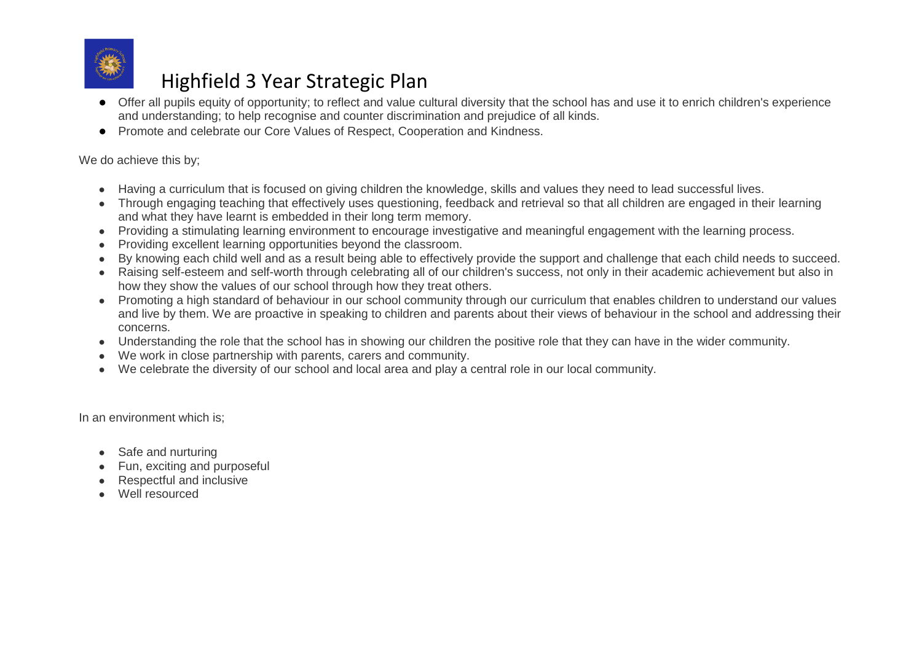

- Offer all pupils equity of opportunity; to reflect and value cultural diversity that the school has and use it to enrich children's experience and understanding; to help recognise and counter discrimination and prejudice of all kinds.
- Promote and celebrate our Core Values of Respect, Cooperation and Kindness.

#### We do achieve this by;

- Having a curriculum that is focused on giving children the knowledge, skills and values they need to lead successful lives.
- Through engaging teaching that effectively uses questioning, feedback and retrieval so that all children are engaged in their learning and what they have learnt is embedded in their long term memory.
- Providing a stimulating learning environment to encourage investigative and meaningful engagement with the learning process.
- Providing excellent learning opportunities beyond the classroom.
- By knowing each child well and as a result being able to effectively provide the support and challenge that each child needs to succeed.
- Raising self-esteem and self-worth through celebrating all of our children's success, not only in their academic achievement but also in how they show the values of our school through how they treat others.
- Promoting a high standard of behaviour in our school community through our curriculum that enables children to understand our values and live by them. We are proactive in speaking to children and parents about their views of behaviour in the school and addressing their concerns.
- Understanding the role that the school has in showing our children the positive role that they can have in the wider community.
- We work in close partnership with parents, carers and community.
- We celebrate the diversity of our school and local area and play a central role in our local community.

In an environment which is;

- Safe and nurturing
- Fun, exciting and purposeful
- **Respectful and inclusive**
- Well resourced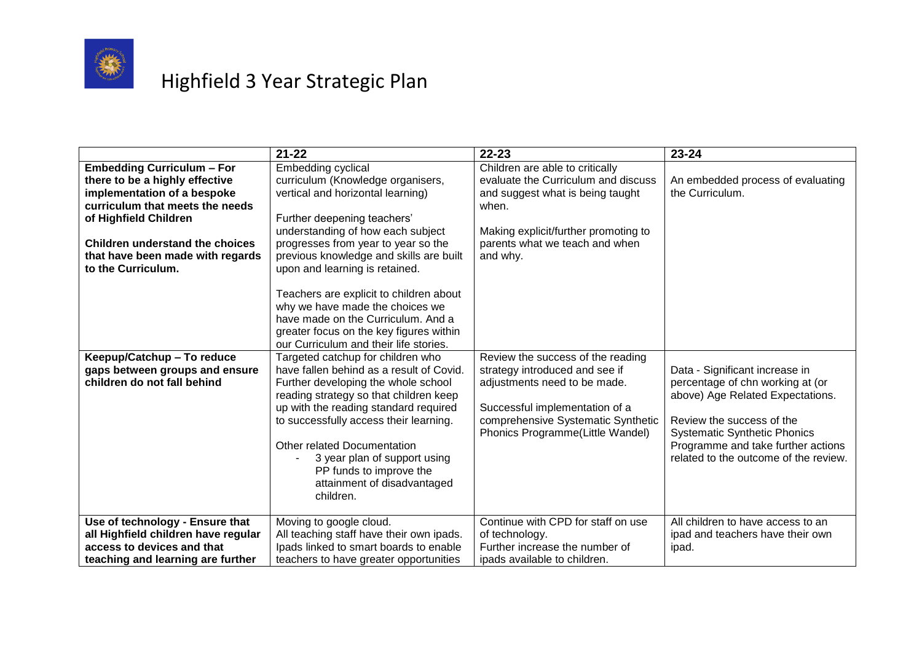

|                                                                                                                                                                                                                                                                    | $21 - 22$                                                                                                                                                                                                                                                                                                                                                                               | $22 - 23$                                                                                                                                                                                                       | $23 - 24$                                                                                                                                                                                                                                                 |
|--------------------------------------------------------------------------------------------------------------------------------------------------------------------------------------------------------------------------------------------------------------------|-----------------------------------------------------------------------------------------------------------------------------------------------------------------------------------------------------------------------------------------------------------------------------------------------------------------------------------------------------------------------------------------|-----------------------------------------------------------------------------------------------------------------------------------------------------------------------------------------------------------------|-----------------------------------------------------------------------------------------------------------------------------------------------------------------------------------------------------------------------------------------------------------|
| <b>Embedding Curriculum - For</b><br>there to be a highly effective<br>implementation of a bespoke<br>curriculum that meets the needs<br>of Highfield Children<br><b>Children understand the choices</b><br>that have been made with regards<br>to the Curriculum. | Embedding cyclical<br>curriculum (Knowledge organisers,<br>vertical and horizontal learning)<br>Further deepening teachers'<br>understanding of how each subject<br>progresses from year to year so the<br>previous knowledge and skills are built<br>upon and learning is retained.                                                                                                    | Children are able to critically<br>evaluate the Curriculum and discuss<br>and suggest what is being taught<br>when.<br>Making explicit/further promoting to<br>parents what we teach and when<br>and why.       | An embedded process of evaluating<br>the Curriculum.                                                                                                                                                                                                      |
|                                                                                                                                                                                                                                                                    | Teachers are explicit to children about<br>why we have made the choices we<br>have made on the Curriculum. And a<br>greater focus on the key figures within<br>our Curriculum and their life stories.                                                                                                                                                                                   |                                                                                                                                                                                                                 |                                                                                                                                                                                                                                                           |
| Keepup/Catchup - To reduce<br>gaps between groups and ensure<br>children do not fall behind                                                                                                                                                                        | Targeted catchup for children who<br>have fallen behind as a result of Covid.<br>Further developing the whole school<br>reading strategy so that children keep<br>up with the reading standard required<br>to successfully access their learning.<br>Other related Documentation<br>3 year plan of support using<br>PP funds to improve the<br>attainment of disadvantaged<br>children. | Review the success of the reading<br>strategy introduced and see if<br>adjustments need to be made.<br>Successful implementation of a<br>comprehensive Systematic Synthetic<br>Phonics Programme(Little Wandel) | Data - Significant increase in<br>percentage of chn working at (or<br>above) Age Related Expectations.<br>Review the success of the<br><b>Systematic Synthetic Phonics</b><br>Programme and take further actions<br>related to the outcome of the review. |
| Use of technology - Ensure that<br>all Highfield children have regular<br>access to devices and that<br>teaching and learning are further                                                                                                                          | Moving to google cloud.<br>All teaching staff have their own ipads.<br>Ipads linked to smart boards to enable<br>teachers to have greater opportunities                                                                                                                                                                                                                                 | Continue with CPD for staff on use<br>of technology.<br>Further increase the number of<br>ipads available to children.                                                                                          | All children to have access to an<br>ipad and teachers have their own<br>ipad.                                                                                                                                                                            |